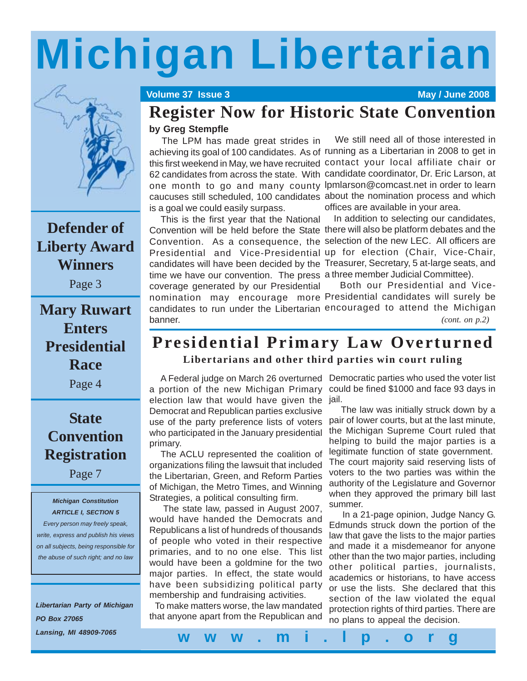# **Michigan Libertarian**



## **Defender of Liberty Award Winners**

Page 3

## **Mary Ruwart Enters Presidential Race**

Page 4

## **State Convention Registration**

Page 7

#### *Michigan Constitution ARTICLE I, SECTION 5*

*Every person may freely speak, write, express and publish his views on all subjects, being responsible for the abuse of such right; and no law*

*Libertarian Party of Michigan PO Box 27065 Lansing, MI 48909-7065*

#### **Volume 37 Issue 3 May / June 2008**

# **Register Now for Historic State Convention**

### **by Greg Stempfle**

 The LPM has made great strides in achieving its goal of 100 candidates. As of running as a Libertarian in 2008 to get in this first weekend in May, we have recruited contact your local affiliate chair or 62 candidates from across the state. With candidate coordinator, Dr. Eric Larson, at one month to go and many county lpmlarson@comcast.net in order to learn caucuses still scheduled, 100 candidates about the nomination process and which is a goal we could easily surpass.

 This is the first year that the National Convention will be held before the State there will also be platform debates and the Convention. As a consequence, the selection of the new LEC. All officers are Presidential and Vice-Presidential up for election (Chair, Vice-Chair, candidates will have been decided by the Treasurer, Secretary, 5 at-large seats, and time we have our convention. The press a three member Judicial Committee). coverage generated by our Presidential banner.

 We still need all of those interested in offices are available in your area.

In addition to selecting our candidates,

nomination may encourage more Presidential candidates will surely be candidates to run under the Libertarian encouraged to attend the Michigan Both our Presidential and Vice-*(cont. on p.2)*

# **Presidential Primary Law Overturned**

### **Libertarians and other third parties win court ruling**

 A Federal judge on March 26 overturned Democratic parties who used the voter list a portion of the new Michigan Primary election law that would have given the jail. Democrat and Republican parties exclusive use of the party preference lists of voters who participated in the January presidential primary.

 The ACLU represented the coalition of organizations filing the lawsuit that included the Libertarian, Green, and Reform Parties of Michigan, the Metro Times, and Winning Strategies, a political consulting firm.

 The state law, passed in August 2007, would have handed the Democrats and Republicans a list of hundreds of thousands of people who voted in their respective primaries, and to no one else. This list would have been a goldmine for the two major parties. In effect, the state would have been subsidizing political party membership and fundraising activities.

 To make matters worse, the law mandated that anyone apart from the Republican and

could be fined \$1000 and face 93 days in

 The law was initially struck down by a pair of lower courts, but at the last minute, the Michigan Supreme Court ruled that helping to build the major parties is a legitimate function of state government. The court majority said reserving lists of voters to the two parties was within the authority of the Legislature and Governor when they approved the primary bill last summer.

 In a 21-page opinion, Judge Nancy G. Edmunds struck down the portion of the law that gave the lists to the major parties and made it a misdemeanor for anyone other than the two major parties, including other political parties, journalists, academics or historians, to have access or use the lists. She declared that this section of the law violated the equal protection rights of third parties. There are no plans to appeal the decision.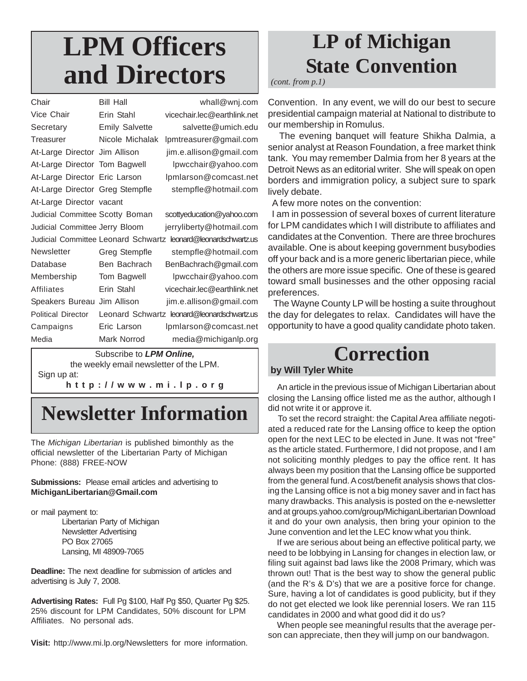# **LPM Officers and Directors**

| Chair                                      | <b>Bill Hall</b>      | whall@wnj.com                               |
|--------------------------------------------|-----------------------|---------------------------------------------|
| Vice Chair                                 | Erin Stahl            | vicechair.lec@earthlink.net                 |
| Secretary                                  | <b>Emily Salvette</b> | salvette@umich.edu                          |
| Treasurer                                  | Nicole Michalak       | lpmtreasurer@gmail.com                      |
| At-Large Director Jim Allison              |                       | jim.e.allison@gmail.com                     |
| At-Large Director Tom Bagwell              |                       | lpwcchair@yahoo.com                         |
| At-Large Director Eric Larson              |                       | Ipmlarson@comcast.net                       |
| At-Large Director Greg Stempfle            |                       | stempfle@hotmail.com                        |
| At-Large Director vacant                   |                       |                                             |
| Judicial Committee Scotty Boman            |                       | scottyeducation@yahoo.com                   |
| Judicial Committee Jerry Bloom             |                       | jerryliberty@hotmail.com                    |
| <b>Judicial Committee Leonard Schwartz</b> |                       | leonard@leonardschwartz.us                  |
| Newsletter                                 | Greg Stempfle         | stempfle@hotmail.com                        |
| Database                                   | Ben Bachrach          | BenBachrach@gmail.com                       |
| Membership                                 | Tom Bagwell           | lpwcchair@yahoo.com                         |
| Affiliates                                 | Erin Stahl            | vicechair.lec@earthlink.net                 |
| Speakers Bureau                            | Jim Allison           | jim.e.allison@gmail.com                     |
| <b>Political Director</b>                  |                       | Leonard Schwartz leonard@leonardschwartz.us |
| Campaigns                                  | Eric Larson           | Ipmlarson@comcast.net                       |
| Media                                      | Mark Norrod           | media@michiganlp.org                        |
|                                            |                       |                                             |

Subscribe to *LPM Online,* the weekly email newsletter of the LPM. Sign up at:

**http://www.mi.lp.org**

# **Newsletter Information**

The *Michigan Libertarian* is published bimonthly as the official newsletter of the Libertarian Party of Michigan Phone: (888) FREE-NOW

#### **Submissions:** Please email articles and advertising to **MichiganLibertarian@Gmail.com**

or mail payment to:

Libertarian Party of Michigan Newsletter Advertising PO Box 27065 Lansing, MI 48909-7065

**Deadline:** The next deadline for submission of articles and advertising is July 7, 2008.

**Advertising Rates:** Full Pg \$100, Half Pg \$50, Quarter Pg \$25. 25% discount for LPM Candidates, 50% discount for LPM Affiliates. No personal ads.

**Visit:** http://www.mi.lp.org/Newsletters for more information.

# **LP of Michigan State Convention**

*(cont. from p.1)*

Convention. In any event, we will do our best to secure presidential campaign material at National to distribute to our membership in Romulus.

 The evening banquet will feature Shikha Dalmia, a senior analyst at Reason Foundation, a free market think tank. You may remember Dalmia from her 8 years at the Detroit News as an editorial writer. She will speak on open borders and immigration policy, a subject sure to spark lively debate.

A few more notes on the convention:

 I am in possession of several boxes of current literature for LPM candidates which I will distribute to affiliates and candidates at the Convention. There are three brochures available. One is about keeping government busybodies off your back and is a more generic libertarian piece, while the others are more issue specific. One of these is geared toward small businesses and the other opposing racial preferences.

 The Wayne County LP will be hosting a suite throughout the day for delegates to relax. Candidates will have the opportunity to have a good quality candidate photo taken.

# **Correction**

#### **by Will Tyler White**

 An article in the previous issue of Michigan Libertarian about closing the Lansing office listed me as the author, although I did not write it or approve it.

 To set the record straight: the Capital Area affiliate negotiated a reduced rate for the Lansing office to keep the option open for the next LEC to be elected in June. It was not "free" as the article stated. Furthermore, I did not propose, and I am not soliciting monthly pledges to pay the office rent. It has always been my position that the Lansing office be supported from the general fund. A cost/benefit analysis shows that closing the Lansing office is not a big money saver and in fact has many drawbacks. This analysis is posted on the e-newsletter and at groups.yahoo.com/group/MichiganLibertarian Download it and do your own analysis, then bring your opinion to the June convention and let the LEC know what you think.

 If we are serious about being an effective political party, we need to be lobbying in Lansing for changes in election law, or filing suit against bad laws like the 2008 Primary, which was thrown out! That is the best way to show the general public (and the R's & D's) that we are a positive force for change. Sure, having a lot of candidates is good publicity, but if they do not get elected we look like perennial losers. We ran 115 candidates in 2000 and what good did it do us?

 When people see meaningful results that the average person can appreciate, then they will jump on our bandwagon.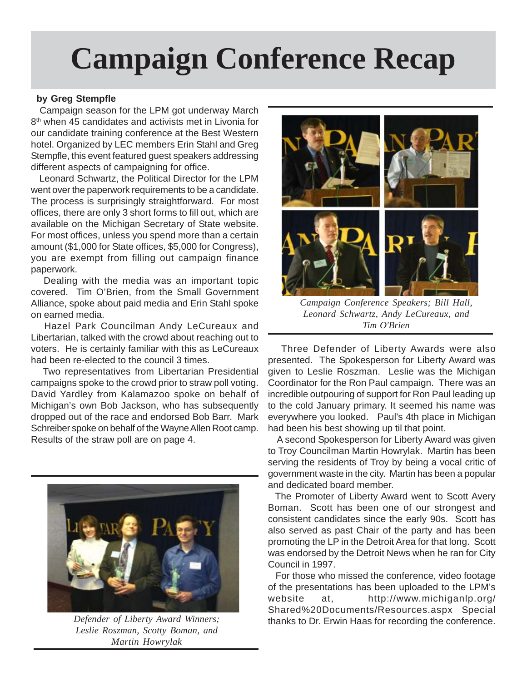# **Campaign Conference Recap**

#### **by Greg Stempfle**

 Campaign season for the LPM got underway March 8<sup>th</sup> when 45 candidates and activists met in Livonia for our candidate training conference at the Best Western hotel. Organized by LEC members Erin Stahl and Greg Stempfle, this event featured guest speakers addressing different aspects of campaigning for office.

 Leonard Schwartz, the Political Director for the LPM went over the paperwork requirements to be a candidate. The process is surprisingly straightforward. For most offices, there are only 3 short forms to fill out, which are available on the Michigan Secretary of State website. For most offices, unless you spend more than a certain amount (\$1,000 for State offices, \$5,000 for Congress), you are exempt from filling out campaign finance paperwork.

 Dealing with the media was an important topic covered. Tim O'Brien, from the Small Government Alliance, spoke about paid media and Erin Stahl spoke on earned media.

 Hazel Park Councilman Andy LeCureaux and Libertarian, talked with the crowd about reaching out to voters. He is certainly familiar with this as LeCureaux had been re-elected to the council 3 times.

 Two representatives from Libertarian Presidential campaigns spoke to the crowd prior to straw poll voting. David Yardley from Kalamazoo spoke on behalf of Michigan's own Bob Jackson, who has subsequently dropped out of the race and endorsed Bob Barr. Mark Schreiber spoke on behalf of the Wayne Allen Root camp. Results of the straw poll are on page 4.



*Leslie Roszman, Scotty Boman, and Martin Howrylak*



*Campaign Conference Speakers; Bill Hall, Leonard Schwartz, Andy LeCureaux, and Tim O'Brien*

 Three Defender of Liberty Awards were also presented. The Spokesperson for Liberty Award was given to Leslie Roszman. Leslie was the Michigan Coordinator for the Ron Paul campaign. There was an incredible outpouring of support for Ron Paul leading up to the cold January primary. It seemed his name was everywhere you looked. Paul's 4th place in Michigan had been his best showing up til that point.

 A second Spokesperson for Liberty Award was given to Troy Councilman Martin Howrylak. Martin has been serving the residents of Troy by being a vocal critic of government waste in the city. Martin has been a popular and dedicated board member.

 The Promoter of Liberty Award went to Scott Avery Boman. Scott has been one of our strongest and consistent candidates since the early 90s. Scott has also served as past Chair of the party and has been promoting the LP in the Detroit Area for that long. Scott was endorsed by the Detroit News when he ran for City Council in 1997.

 For those who missed the conference, video footage of the presentations has been uploaded to the LPM's website at, http://www.michiganlp.org/ Shared%20Documents/Resources.aspx Special *Defender of Liberty Award Winners;* thanks to Dr. Erwin Haas for recording the conference.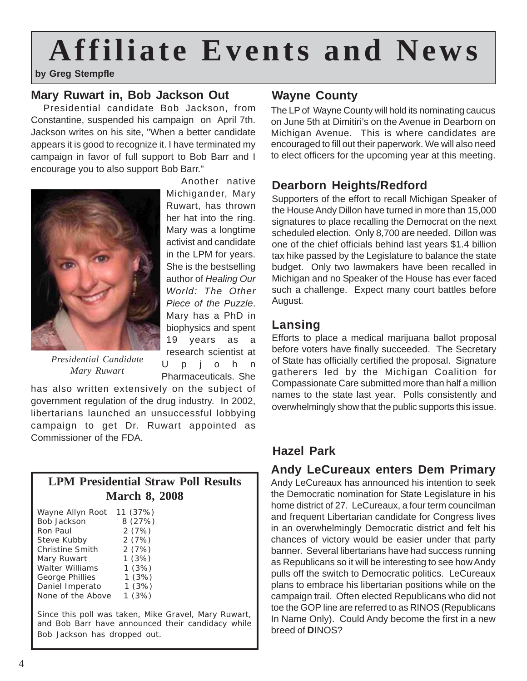# **Affiliate Events and News**

**by Greg Stempfle**

## **Mary Ruwart in, Bob Jackson Out**

 Presidential candidate Bob Jackson, from Constantine, suspended his campaign on April 7th. Jackson writes on his site, "When a better candidate appears it is good to recognize it. I have terminated my campaign in favor of full support to Bob Barr and I encourage you to also support Bob Barr."



 Another native Michigander, Mary Ruwart, has thrown her hat into the ring. Mary was a longtime activist and candidate in the LPM for years. She is the bestselling author of *Healing Our World: The Other Piece of the Puzzle*. Mary has a PhD in biophysics and spent 19 years as a research scientist at Upjohn Pharmaceuticals. She

*Presidential Candidate Mary Ruwart*

has also written extensively on the subject of government regulation of the drug industry. In 2002, libertarians launched an unsuccessful lobbying campaign to get Dr. Ruwart appointed as Commissioner of the FDA.

| <b>LPM Presidential Straw Poll Results</b> |  |  |
|--------------------------------------------|--|--|
| <b>March 8, 2008</b>                       |  |  |

| Wayne Allyn Root       | 11 (37%) |
|------------------------|----------|
| <b>Bob Jackson</b>     | 8 (27%)  |
| Ron Paul               | 2(7%)    |
| Steve Kubby            | 2(7%)    |
| <b>Christine Smith</b> | 2(7%)    |
| Mary Ruwart            | 1(3%)    |
| <b>Walter Williams</b> | 1(3%)    |
| George Phillies        | 1(3%)    |
| Daniel Imperato        | 1(3%)    |
| None of the Above      | 1(3%)    |
|                        |          |

Since this poll was taken, Mike Gravel, Mary Ruwart, and Bob Barr have announced their candidacy while Bob Jackson has dropped out.

## **Wayne County**

The LP of Wayne County will hold its nominating caucus on June 5th at Dimitiri's on the Avenue in Dearborn on Michigan Avenue. This is where candidates are encouraged to fill out their paperwork. We will also need to elect officers for the upcoming year at this meeting.

## **Dearborn Heights/Redford**

Supporters of the effort to recall Michigan Speaker of the House Andy Dillon have turned in more than 15,000 signatures to place recalling the Democrat on the next scheduled election. Only 8,700 are needed. Dillon was one of the chief officials behind last years \$1.4 billion tax hike passed by the Legislature to balance the state budget. Only two lawmakers have been recalled in Michigan and no Speaker of the House has ever faced such a challenge. Expect many court battles before August.

## **Lansing**

Efforts to place a medical marijuana ballot proposal before voters have finally succeeded. The Secretary of State has officially certified the proposal. Signature gatherers led by the Michigan Coalition for Compassionate Care submitted more than half a million names to the state last year. Polls consistently and overwhelmingly show that the public supports this issue.

## **Hazel Park**

## **Andy LeCureaux enters Dem Primary**

Andy LeCureaux has announced his intention to seek the Democratic nomination for State Legislature in his home district of 27. LeCureaux, a four term councilman and frequent Libertarian candidate for Congress lives in an overwhelmingly Democratic district and felt his chances of victory would be easier under that party banner. Several libertarians have had success running as Republicans so it will be interesting to see how Andy pulls off the switch to Democratic politics. LeCureaux plans to embrace his libertarian positions while on the campaign trail. Often elected Republicans who did not toe the GOP line are referred to as RINOS (Republicans In Name Only). Could Andy become the first in a new breed of **D**INOS?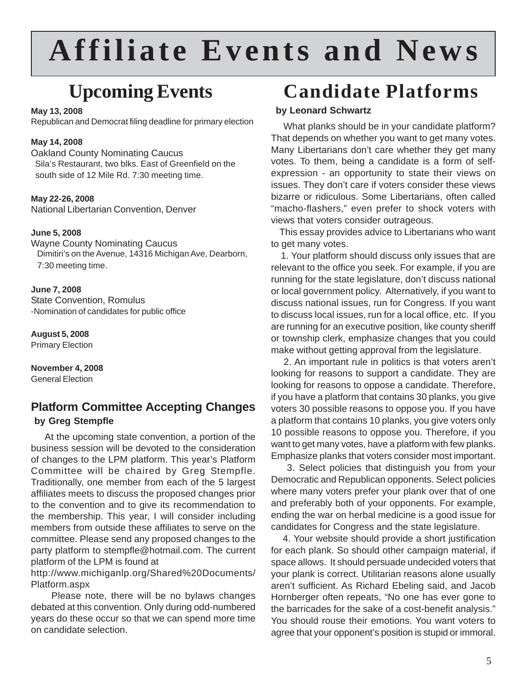# **Affiliate Events and News**

# **Upcoming Events**

#### **May 13, 2008**

Republican and Democrat filing deadline for primary election

#### **May 14, 2008**

Oakland County Nominating Caucus Sila's Restaurant, two blks. East of Greenfield on the south side of 12 Mile Rd. 7:30 meeting time.

#### **May 22-26, 2008**

National Libertarian Convention, Denver

#### **June 5, 2008**

Wayne County Nominating Caucus Dimitiri's on the Avenue, 14316 Michigan Ave, Dearborn, 7:30 meeting time.

**June 7, 2008** State Convention, Romulus -Nomination of candidates for public office

**August 5, 2008** Primary Election

**November 4, 2008** General Election

## **Platform Committee Accepting Changes by Greg Stempfle**

 At the upcoming state convention, a portion of the business session will be devoted to the consideration of changes to the LPM platform. This year's Platform Committee will be chaired by Greg Stempfle. Traditionally, one member from each of the 5 largest affiliates meets to discuss the proposed changes prior to the convention and to give its recommendation to the membership. This year, I will consider including members from outside these affiliates to serve on the committee. Please send any proposed changes to the party platform to stempfle@hotmail.com. The current platform of the LPM is found at

http://www.michiganlp.org/Shared%20Documents/ Platform.aspx

 Please note, there will be no bylaws changes debated at this convention. Only during odd-numbered years do these occur so that we can spend more time on candidate selection.

# **Candidate Platforms**

### **by Leonard Schwartz**

 What planks should be in your candidate platform? That depends on whether you want to get many votes. Many Libertarians don't care whether they get many votes. To them, being a candidate is a form of selfexpression - an opportunity to state their views on issues. They don't care if voters consider these views bizarre or ridiculous. Some Libertarians, often called "macho-flashers," even prefer to shock voters with views that voters consider outrageous.

 This essay provides advice to Libertarians who want to get many votes.

 1. Your platform should discuss only issues that are relevant to the office you seek. For example, if you are running for the state legislature, don't discuss national or local government policy. Alternatively, if you want to discuss national issues, run for Congress. If you want to discuss local issues, run for a local office, etc. If you are running for an executive position, like county sheriff or township clerk, emphasize changes that you could make without getting approval from the legislature.

 2. An important rule in politics is that voters aren't looking for reasons to support a candidate. They are looking for reasons to oppose a candidate. Therefore, if you have a platform that contains 30 planks, you give voters 30 possible reasons to oppose you. If you have a platform that contains 10 planks, you give voters only 10 possible reasons to oppose you. Therefore, if you want to get many votes, have a platform with few planks. Emphasize planks that voters consider most important.

 3. Select policies that distinguish you from your Democratic and Republican opponents. Select policies where many voters prefer your plank over that of one and preferably both of your opponents. For example, ending the war on herbal medicine is a good issue for candidates for Congress and the state legislature.

 4. Your website should provide a short justification for each plank. So should other campaign material, if space allows. It should persuade undecided voters that your plank is correct. Utilitarian reasons alone usually aren't sufficient. As Richard Ebeling said, and Jacob Hornberger often repeats, "No one has ever gone to the barricades for the sake of a cost-benefit analysis." You should rouse their emotions. You want voters to agree that your opponent's position is stupid or immoral.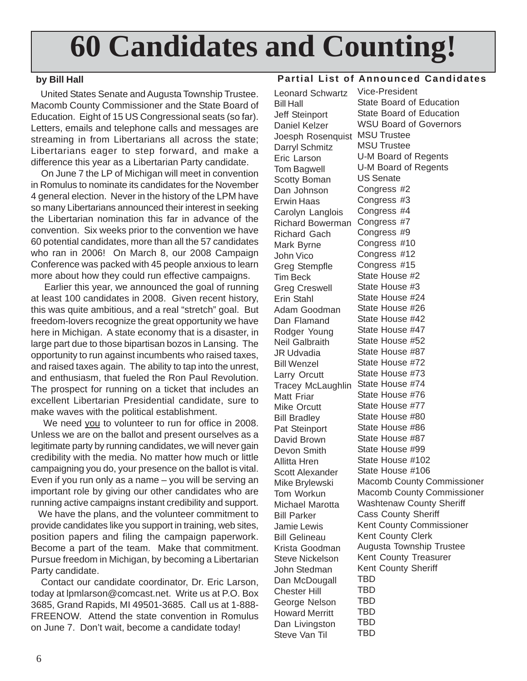# **60 Candidates and Counting!**

### **by Bill Hall**

 United States Senate and Augusta Township Trustee. Macomb County Commissioner and the State Board of Education. Eight of 15 US Congressional seats (so far). Letters, emails and telephone calls and messages are streaming in from Libertarians all across the state; Libertarians eager to step forward, and make a difference this year as a Libertarian Party candidate.

 On June 7 the LP of Michigan will meet in convention in Romulus to nominate its candidates for the November 4 general election. Never in the history of the LPM have so many Libertarians announced their interest in seeking the Libertarian nomination this far in advance of the convention. Six weeks prior to the convention we have 60 potential candidates, more than all the 57 candidates who ran in 2006! On March 8, our 2008 Campaign Conference was packed with 45 people anxious to learn more about how they could run effective campaigns.

 Earlier this year, we announced the goal of running at least 100 candidates in 2008. Given recent history, this was quite ambitious, and a real "stretch" goal. But freedom-lovers recognize the great opportunity we have here in Michigan. A state economy that is a disaster, in large part due to those bipartisan bozos in Lansing. The opportunity to run against incumbents who raised taxes, and raised taxes again. The ability to tap into the unrest, and enthusiasm, that fueled the Ron Paul Revolution. The prospect for running on a ticket that includes an excellent Libertarian Presidential candidate, sure to make waves with the political establishment.

 We need you to volunteer to run for office in 2008. Unless we are on the ballot and present ourselves as a legitimate party by running candidates, we will never gain credibility with the media. No matter how much or little campaigning you do, your presence on the ballot is vital. Even if you run only as a name – you will be serving an important role by giving our other candidates who are running active campaigns instant credibility and support.

 We have the plans, and the volunteer commitment to provide candidates like you support in training, web sites, position papers and filing the campaign paperwork. Become a part of the team. Make that commitment. Pursue freedom in Michigan, by becoming a Libertarian Party candidate.

 Contact our candidate coordinator, Dr. Eric Larson, today at lpmlarson@comcast.net. Write us at P.O. Box 3685, Grand Rapids, MI 49501-3685. Call us at 1-888- FREENOW. Attend the state convention in Romulus on June 7. Don't wait, become a candidate today!

### **Partial List of Announced Candidates**

Leonard Schwartz Bill Hall Jeff Steinport Daniel Kelzer Joesph Rosenquist MSU Trustee Darryl Schmitz Eric Larson Tom Bagwell Scotty Boman Dan Johnson Erwin Haas Carolyn Langlois Richard Bowerman Richard Gach Mark Byrne John Vico Greg Stempfle Tim Beck Greg Creswell Erin Stahl Adam Goodman Dan Flamand Rodger Young Neil Galbraith JR Udvadia Bill Wenzel Larry Orcutt Tracey McLaughlin Matt Friar Mike Orcutt Bill Bradley Pat Steinport David Brown Devon Smith Allitta Hren Scott Alexander Mike Brylewski Tom Workun Michael Marotta Bill Parker Jamie Lewis Bill Gelineau Krista Goodman Steve Nickelson John Stedman Dan McDougall Chester Hill George Nelson Howard Merritt Dan Livingston Steve Van Til

Vice-President State Board of Education State Board of Education WSU Board of Governors MSU Trustee U-M Board of Regents U-M Board of Regents US Senate Congress #2 Congress #3 Congress #4 Congress #7 Congress #9 Congress #10 Congress #12 Congress #15 State House #2 State House #3 State House #24 State House #26 State House #42 State House #47 State House #52 State House #87 State House #72 State House #73 State House #74 State House #76 State House #77 State House #80 State House #86 State House #87 State House #99 State House #102 State House #106 Macomb County Commissioner Macomb County Commissioner Washtenaw County Sheriff Cass County Sheriff Kent County Commissioner Kent County Clerk Augusta Township Trustee Kent County Treasurer Kent County Sheriff TBD TBD TBD TBD TBD **TBD**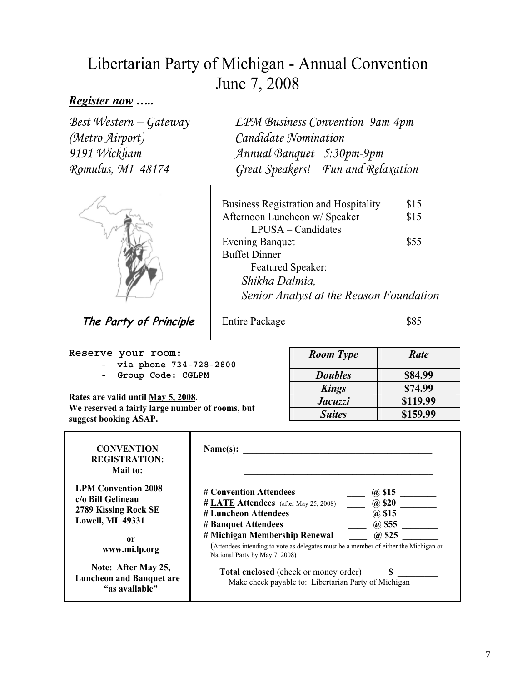## Libertarian Party of Michigan - Annual Convention June 7, 2008

## *Register now …..*

Best Western – Gateway (Metro Airport) 9191 Wickham Romulus, MI 48174



**The Party of Principle**

**Reserve your room:** 

- **via phone 734-728-2800**
- **Group Code: CGLPM**

**Rates are valid until May 5, 2008. We reserved a fairly large number of rooms, but suggest booking ASAP.**

LPM Business Convention 9am-4pm Candidate Nomination Annual Banquet 5:30pm-9pm Great Speakers! Fun and Relaxation

| <b>Business Registration and Hospitality</b> | \$15 |
|----------------------------------------------|------|
| Afternoon Luncheon w/ Speaker                | \$15 |
| $LPUSA - Candidates$                         |      |
| <b>Evening Banquet</b>                       | \$55 |
| <b>Buffet Dinner</b>                         |      |
| <b>Featured Speaker:</b>                     |      |
| Shikha Dalmia,                               |      |
| Senior Analyst at the Reason Foundation      |      |

Entire Package \$85

| <b>Room</b> Type | Rate     |
|------------------|----------|
| <b>Doubles</b>   | \$84.99  |
| <b>Kings</b>     | \$74.99  |
| Jacuzzi          | \$119.99 |
| <b>Suites</b>    | \$159.99 |

| <b>CONVENTION</b><br><b>REGISTRATION:</b><br>Mail to:                                              | Name(s):                                                                                                                                                              |                                                          |  |
|----------------------------------------------------------------------------------------------------|-----------------------------------------------------------------------------------------------------------------------------------------------------------------------|----------------------------------------------------------|--|
| <b>LPM Convention 2008</b><br>c/o Bill Gelineau<br>2789 Kissing Rock SE<br><b>Lowell, MI 49331</b> | # Convention Attendees<br># LATE Attendees (after May 25, 2008)<br># Luncheon Attendees<br># Banquet Attendees                                                        | @ \$15<br><b>@</b> \$20<br>$(a)$ \$15<br><i>(a)</i> \$55 |  |
| 0r<br>www.mi.lp.org                                                                                | # Michigan Membership Renewal<br>$(a)$ \$25<br>(Attendees intending to vote as delegates must be a member of either the Michigan or<br>National Party by May 7, 2008) |                                                          |  |
| Note: After May 25,<br><b>Luncheon and Banquet are</b><br>"as available"                           | Total enclosed (check or money order)<br>Make check payable to: Libertarian Party of Michigan                                                                         |                                                          |  |